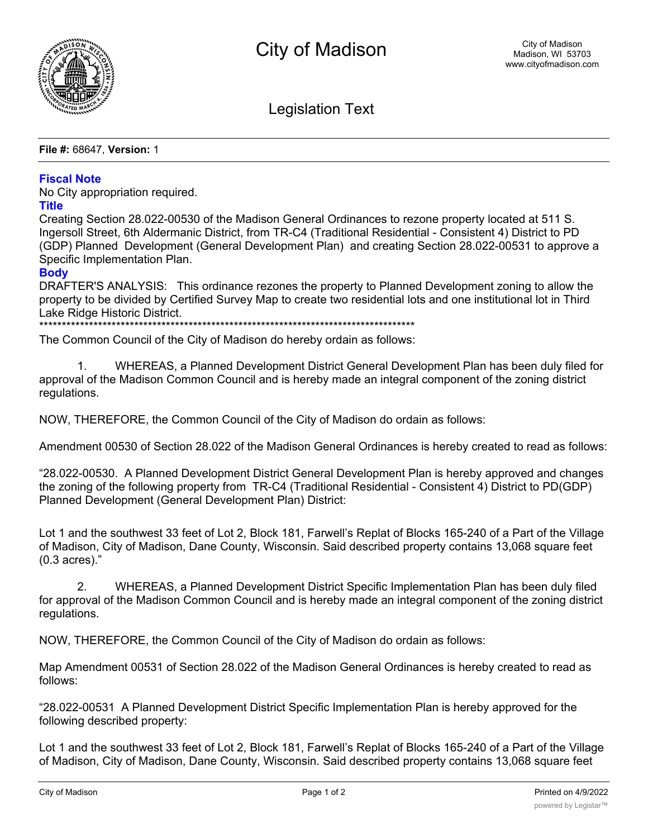

Legislation Text

**File #:** 68647, **Version:** 1

## **Fiscal Note**

No City appropriation required.

## **Title**

Creating Section 28.022-00530 of the Madison General Ordinances to rezone property located at 511 S. Ingersoll Street, 6th Aldermanic District, from TR-C4 (Traditional Residential - Consistent 4) District to PD (GDP) Planned Development (General Development Plan) and creating Section 28.022-00531 to approve a Specific Implementation Plan.

## **Body**

DRAFTER'S ANALYSIS: This ordinance rezones the property to Planned Development zoning to allow the property to be divided by Certified Survey Map to create two residential lots and one institutional lot in Third Lake Ridge Historic District.

\*\*\*\*\*\*\*\*\*\*\*\*\*\*\*\*\*\*\*\*\*\*\*\*\*\*\*\*\*\*\*\*\*\*\*\*\*\*\*\*\*\*\*\*\*\*\*\*\*\*\*\*\*\*\*\*\*\*\*\*\*\*\*\*\*\*\*\*\*\*\*\*\*\*\*\*\*\*\*\*\*\*\*

The Common Council of the City of Madison do hereby ordain as follows:

1. WHEREAS, a Planned Development District General Development Plan has been duly filed for approval of the Madison Common Council and is hereby made an integral component of the zoning district regulations.

NOW, THEREFORE, the Common Council of the City of Madison do ordain as follows:

Amendment 00530 of Section 28.022 of the Madison General Ordinances is hereby created to read as follows:

"28.022-00530. A Planned Development District General Development Plan is hereby approved and changes the zoning of the following property from TR-C4 (Traditional Residential - Consistent 4) District to PD(GDP) Planned Development (General Development Plan) District:

Lot 1 and the southwest 33 feet of Lot 2, Block 181, Farwell's Replat of Blocks 165-240 of a Part of the Village of Madison, City of Madison, Dane County, Wisconsin. Said described property contains 13,068 square feet (0.3 acres)."

2. WHEREAS, a Planned Development District Specific Implementation Plan has been duly filed for approval of the Madison Common Council and is hereby made an integral component of the zoning district regulations.

NOW, THEREFORE, the Common Council of the City of Madison do ordain as follows:

Map Amendment 00531 of Section 28.022 of the Madison General Ordinances is hereby created to read as follows:

"28.022-00531 A Planned Development District Specific Implementation Plan is hereby approved for the following described property:

Lot 1 and the southwest 33 feet of Lot 2, Block 181, Farwell's Replat of Blocks 165-240 of a Part of the Village of Madison, City of Madison, Dane County, Wisconsin. Said described property contains 13,068 square feet